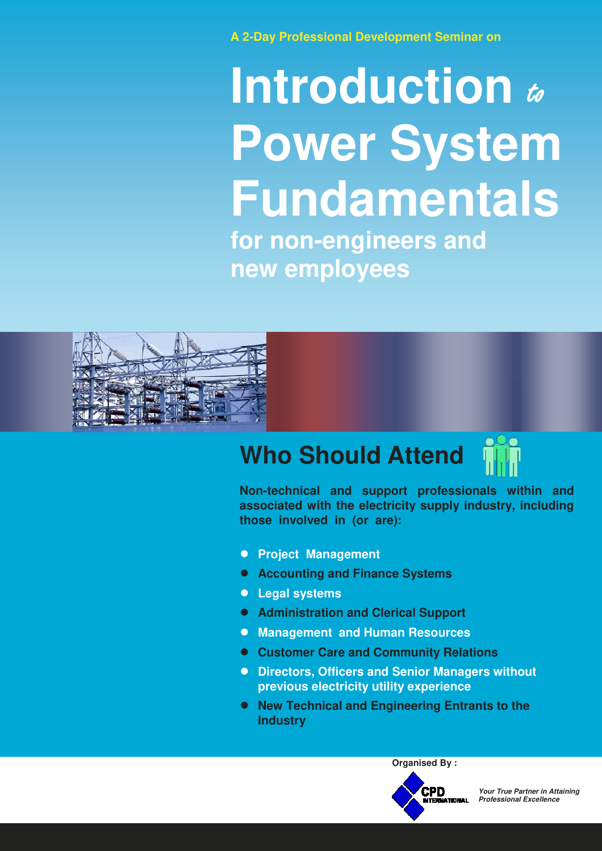**A 2-Day Professional Development Seminar on**

# **Introduction** to **Power System Fundamentals for non-engineers and new employees**



## **Who Should Attend**

**Non-technical and support professionals within and associated with the electricity supply industry, including those involved in (or are):**

- **Project Management**
- **Accounting and Finance Systems**
- **Legal systems**
- **Administration and Clerical Support**
- **Management and Human Resources**
- **Customer Care and Community Relations**
- **Directors, Officers and Senior Managers without previous electricity utility experience**
- **New Technical and Engineering Entrants to the Industry**



**Organised By :**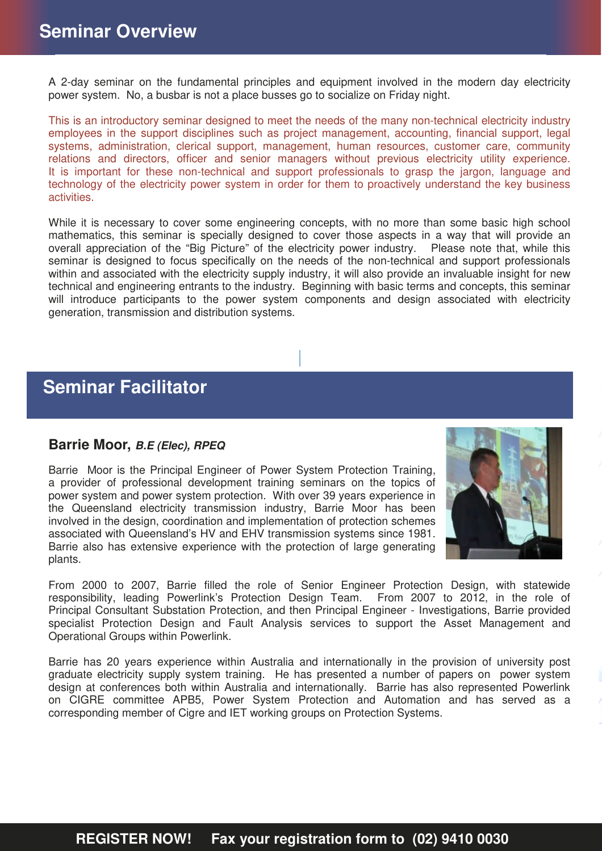A 2-day seminar on the fundamental principles and equipment involved in the modern day electricity power system. No, a busbar is not a place busses go to socialize on Friday night.

This is an introductory seminar designed to meet the needs of the many non-technical electricity industry employees in the support disciplines such as project management, accounting, financial support, legal systems, administration, clerical support, management, human resources, customer care, community relations and directors, officer and senior managers without previous electricity utility experience. It is important for these non-technical and support professionals to grasp the jargon, language and technology of the electricity power system in order for them to proactively understand the key business activities.

While it is necessary to cover some engineering concepts, with no more than some basic high school mathematics, this seminar is specially designed to cover those aspects in a way that will provide an overall appreciation of the "Big Picture" of the electricity power industry. Please note that, while this seminar is designed to focus specifically on the needs of the non-technical and support professionals within and associated with the electricity supply industry, it will also provide an invaluable insight for new technical and engineering entrants to the industry. Beginning with basic terms and concepts, this seminar will introduce participants to the power system components and design associated with electricity generation, transmission and distribution systems.

## **Seminar Facilitator**

#### **Barrie Moor,** *B.E (Elec), RPEQ*

Barrie Moor is the Principal Engineer of Power System Protection Training, a provider of professional development training seminars on the topics of power system and power system protection. With over 39 years experience in the Queensland electricity transmission industry, Barrie Moor has been involved in the design, coordination and implementation of protection schemes associated with Queensland's HV and EHV transmission systems since 1981. Barrie also has extensive experience with the protection of large generating plants.



From 2000 to 2007, Barrie filled the role of Senior Engineer Protection Design, with statewide responsibility, leading Powerlink's Protection Design Team. From 2007 to 2012, in the role of Principal Consultant Substation Protection, and then Principal Engineer - Investigations, Barrie provided specialist Protection Design and Fault Analysis services to support the Asset Management and Operational Groups within Powerlink.

Barrie has 20 years experience within Australia and internationally in the provision of university post graduate electricity supply system training. He has presented a number of papers on power system design at conferences both within Australia and internationally. Barrie has also represented Powerlink on CIGRE committee APB5, Power System Protection and Automation and has served as a corresponding member of Cigre and IET working groups on Protection Systems.